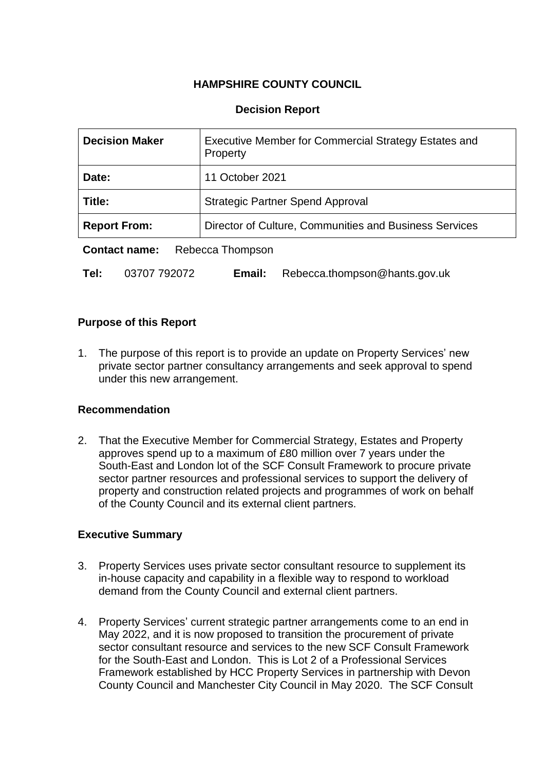# **HAMPSHIRE COUNTY COUNCIL**

# **Decision Report**

| <b>Decision Maker</b>                    | Executive Member for Commercial Strategy Estates and<br>Property |
|------------------------------------------|------------------------------------------------------------------|
| Date:                                    | 11 October 2021                                                  |
| Title:                                   | <b>Strategic Partner Spend Approval</b>                          |
| <b>Report From:</b>                      | Director of Culture, Communities and Business Services           |
| <b>Contact name:</b><br>Rebecca Thompson |                                                                  |

**Tel:** 03707 792072 **Email:** Rebecca.thompson@hants.gov.uk

# **Purpose of this Report**

1. The purpose of this report is to provide an update on Property Services' new private sector partner consultancy arrangements and seek approval to spend under this new arrangement.

### **Recommendation**

2. That the Executive Member for Commercial Strategy, Estates and Property approves spend up to a maximum of £80 million over 7 years under the South-East and London lot of the SCF Consult Framework to procure private sector partner resources and professional services to support the delivery of property and construction related projects and programmes of work on behalf of the County Council and its external client partners.

### **Executive Summary**

- 3. Property Services uses private sector consultant resource to supplement its in-house capacity and capability in a flexible way to respond to workload demand from the County Council and external client partners.
- 4. Property Services' current strategic partner arrangements come to an end in May 2022, and it is now proposed to transition the procurement of private sector consultant resource and services to the new SCF Consult Framework for the South-East and London. This is Lot 2 of a Professional Services Framework established by HCC Property Services in partnership with Devon County Council and Manchester City Council in May 2020. The SCF Consult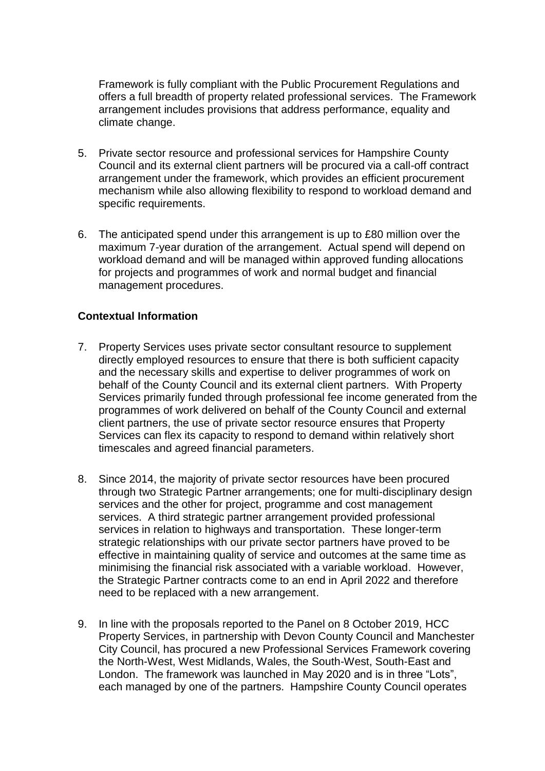Framework is fully compliant with the Public Procurement Regulations and offers a full breadth of property related professional services. The Framework arrangement includes provisions that address performance, equality and climate change.

- 5. Private sector resource and professional services for Hampshire County Council and its external client partners will be procured via a call-off contract arrangement under the framework, which provides an efficient procurement mechanism while also allowing flexibility to respond to workload demand and specific requirements.
- 6. The anticipated spend under this arrangement is up to £80 million over the maximum 7-year duration of the arrangement. Actual spend will depend on workload demand and will be managed within approved funding allocations for projects and programmes of work and normal budget and financial management procedures.

### **Contextual Information**

- 7. Property Services uses private sector consultant resource to supplement directly employed resources to ensure that there is both sufficient capacity and the necessary skills and expertise to deliver programmes of work on behalf of the County Council and its external client partners. With Property Services primarily funded through professional fee income generated from the programmes of work delivered on behalf of the County Council and external client partners, the use of private sector resource ensures that Property Services can flex its capacity to respond to demand within relatively short timescales and agreed financial parameters.
- 8. Since 2014, the majority of private sector resources have been procured through two Strategic Partner arrangements; one for multi-disciplinary design services and the other for project, programme and cost management services. A third strategic partner arrangement provided professional services in relation to highways and transportation. These longer-term strategic relationships with our private sector partners have proved to be effective in maintaining quality of service and outcomes at the same time as minimising the financial risk associated with a variable workload. However, the Strategic Partner contracts come to an end in April 2022 and therefore need to be replaced with a new arrangement.
- 9. In line with the proposals reported to the Panel on 8 October 2019, HCC Property Services, in partnership with Devon County Council and Manchester City Council, has procured a new Professional Services Framework covering the North-West, West Midlands, Wales, the South-West, South-East and London. The framework was launched in May 2020 and is in three "Lots", each managed by one of the partners. Hampshire County Council operates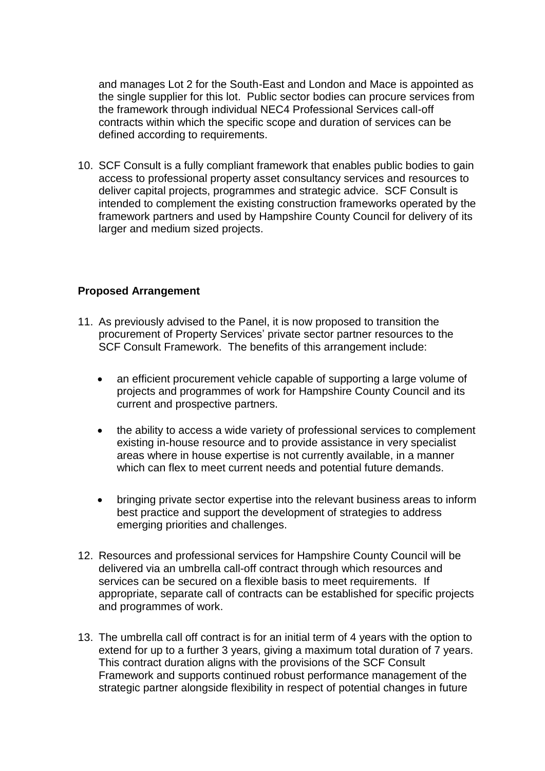and manages Lot 2 for the South-East and London and Mace is appointed as the single supplier for this lot. Public sector bodies can procure services from the framework through individual NEC4 Professional Services call-off contracts within which the specific scope and duration of services can be defined according to requirements.

10. SCF Consult is a fully compliant framework that enables public bodies to gain access to professional property asset consultancy services and resources to deliver capital projects, programmes and strategic advice. SCF Consult is intended to complement the existing construction frameworks operated by the framework partners and used by Hampshire County Council for delivery of its larger and medium sized projects.

### **Proposed Arrangement**

- 11. As previously advised to the Panel, it is now proposed to transition the procurement of Property Services' private sector partner resources to the SCF Consult Framework. The benefits of this arrangement include:
	- an efficient procurement vehicle capable of supporting a large volume of projects and programmes of work for Hampshire County Council and its current and prospective partners.
	- the ability to access a wide variety of professional services to complement existing in-house resource and to provide assistance in very specialist areas where in house expertise is not currently available, in a manner which can flex to meet current needs and potential future demands.
	- bringing private sector expertise into the relevant business areas to inform best practice and support the development of strategies to address emerging priorities and challenges.
- 12. Resources and professional services for Hampshire County Council will be delivered via an umbrella call-off contract through which resources and services can be secured on a flexible basis to meet requirements. If appropriate, separate call of contracts can be established for specific projects and programmes of work.
- 13. The umbrella call off contract is for an initial term of 4 years with the option to extend for up to a further 3 years, giving a maximum total duration of 7 years. This contract duration aligns with the provisions of the SCF Consult Framework and supports continued robust performance management of the strategic partner alongside flexibility in respect of potential changes in future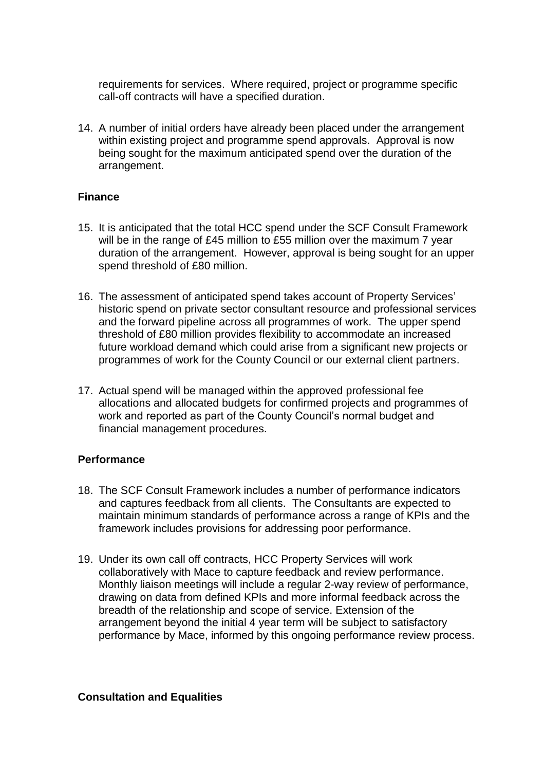requirements for services. Where required, project or programme specific call-off contracts will have a specified duration.

14. A number of initial orders have already been placed under the arrangement within existing project and programme spend approvals. Approval is now being sought for the maximum anticipated spend over the duration of the arrangement.

# **Finance**

- 15. It is anticipated that the total HCC spend under the SCF Consult Framework will be in the range of £45 million to £55 million over the maximum 7 year duration of the arrangement. However, approval is being sought for an upper spend threshold of £80 million.
- 16. The assessment of anticipated spend takes account of Property Services' historic spend on private sector consultant resource and professional services and the forward pipeline across all programmes of work. The upper spend threshold of £80 million provides flexibility to accommodate an increased future workload demand which could arise from a significant new projects or programmes of work for the County Council or our external client partners.
- 17. Actual spend will be managed within the approved professional fee allocations and allocated budgets for confirmed projects and programmes of work and reported as part of the County Council's normal budget and financial management procedures.

# **Performance**

- 18. The SCF Consult Framework includes a number of performance indicators and captures feedback from all clients. The Consultants are expected to maintain minimum standards of performance across a range of KPIs and the framework includes provisions for addressing poor performance.
- 19. Under its own call off contracts, HCC Property Services will work collaboratively with Mace to capture feedback and review performance. Monthly liaison meetings will include a regular 2-way review of performance, drawing on data from defined KPIs and more informal feedback across the breadth of the relationship and scope of service. Extension of the arrangement beyond the initial 4 year term will be subject to satisfactory performance by Mace, informed by this ongoing performance review process.

#### **Consultation and Equalities**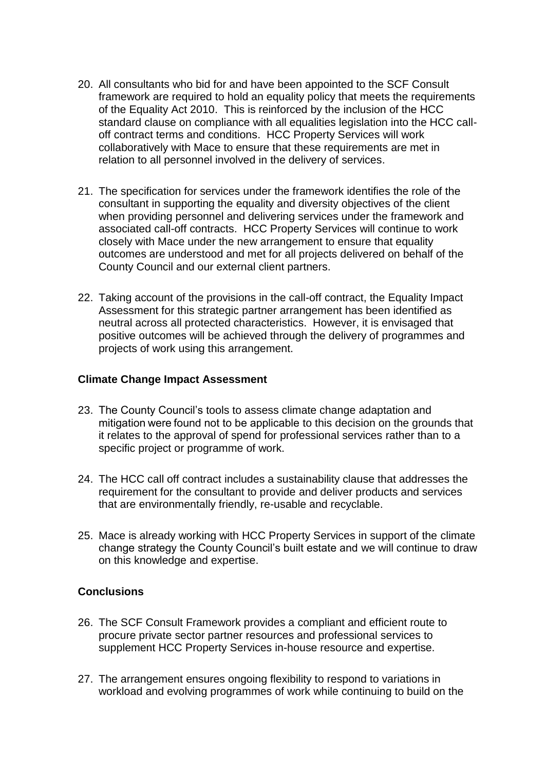- 20. All consultants who bid for and have been appointed to the SCF Consult framework are required to hold an equality policy that meets the requirements of the Equality Act 2010. This is reinforced by the inclusion of the HCC standard clause on compliance with all equalities legislation into the HCC calloff contract terms and conditions. HCC Property Services will work collaboratively with Mace to ensure that these requirements are met in relation to all personnel involved in the delivery of services.
- 21. The specification for services under the framework identifies the role of the consultant in supporting the equality and diversity objectives of the client when providing personnel and delivering services under the framework and associated call-off contracts. HCC Property Services will continue to work closely with Mace under the new arrangement to ensure that equality outcomes are understood and met for all projects delivered on behalf of the County Council and our external client partners.
- 22. Taking account of the provisions in the call-off contract, the Equality Impact Assessment for this strategic partner arrangement has been identified as neutral across all protected characteristics. However, it is envisaged that positive outcomes will be achieved through the delivery of programmes and projects of work using this arrangement.

### **Climate Change Impact Assessment**

- 23. The County Council's tools to assess climate change adaptation and mitigation were found not to be applicable to this decision on the grounds that it relates to the approval of spend for professional services rather than to a specific project or programme of work.
- 24. The HCC call off contract includes a sustainability clause that addresses the requirement for the consultant to provide and deliver products and services that are environmentally friendly, re-usable and recyclable.
- 25. Mace is already working with HCC Property Services in support of the climate change strategy the County Council's built estate and we will continue to draw on this knowledge and expertise.

### **Conclusions**

- 26. The SCF Consult Framework provides a compliant and efficient route to procure private sector partner resources and professional services to supplement HCC Property Services in-house resource and expertise.
- 27. The arrangement ensures ongoing flexibility to respond to variations in workload and evolving programmes of work while continuing to build on the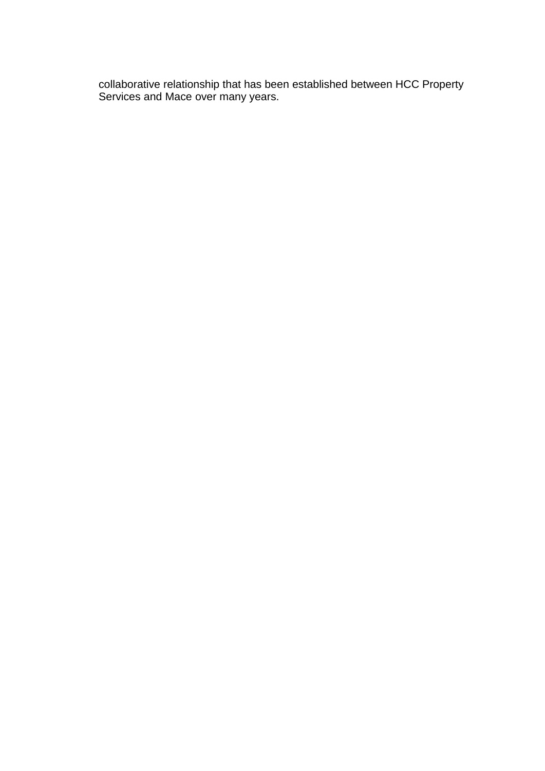collaborative relationship that has been established between HCC Property Services and Mace over many years.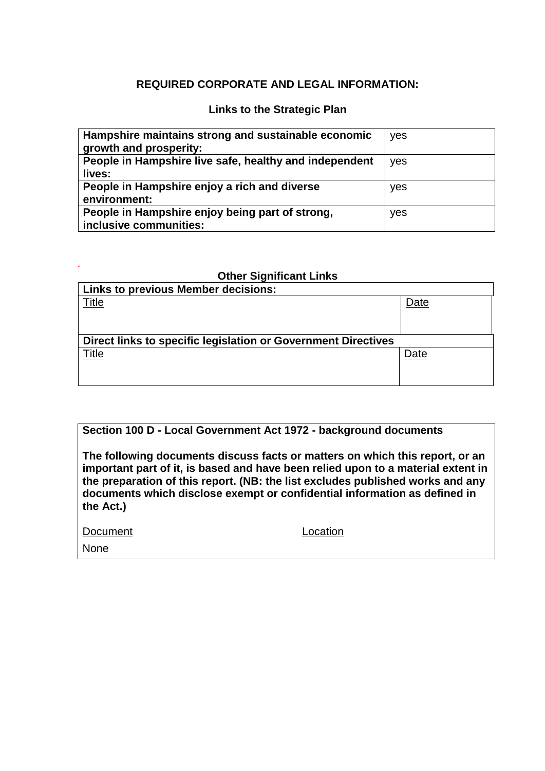# **REQUIRED CORPORATE AND LEGAL INFORMATION:**

### **Links to the Strategic Plan**

| Hampshire maintains strong and sustainable economic<br>growth and prosperity: | yes |
|-------------------------------------------------------------------------------|-----|
| People in Hampshire live safe, healthy and independent<br>lives:              | yes |
| People in Hampshire enjoy a rich and diverse<br>environment:                  | yes |
| People in Hampshire enjoy being part of strong,<br>inclusive communities:     | yes |

#### **Other Significant Links**

| Date                                                          |  |  |
|---------------------------------------------------------------|--|--|
|                                                               |  |  |
|                                                               |  |  |
| Direct links to specific legislation or Government Directives |  |  |
| Date                                                          |  |  |
|                                                               |  |  |
|                                                               |  |  |
|                                                               |  |  |

# **Section 100 D - Local Government Act 1972 - background documents**

**The following documents discuss facts or matters on which this report, or an important part of it, is based and have been relied upon to a material extent in the preparation of this report. (NB: the list excludes published works and any documents which disclose exempt or confidential information as defined in the Act.)**

| Document |
|----------|
|          |

Location

None

*.*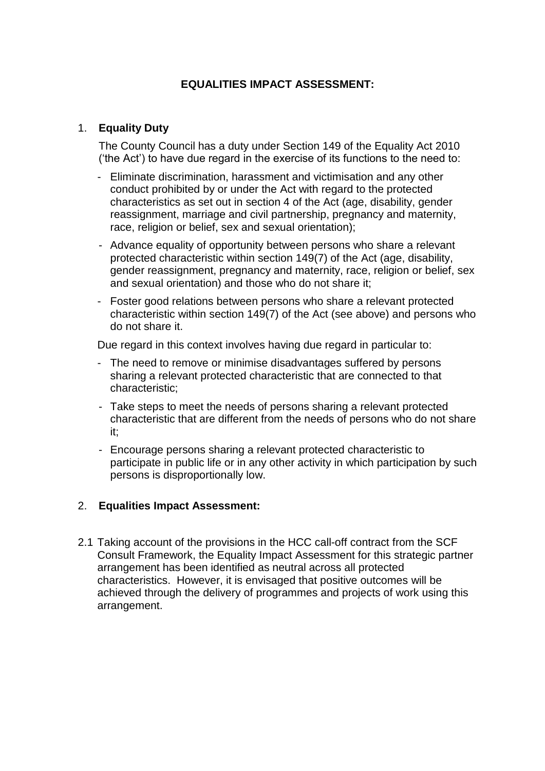# **EQUALITIES IMPACT ASSESSMENT:**

# 1. **Equality Duty**

The County Council has a duty under Section 149 of the Equality Act 2010 ('the Act') to have due regard in the exercise of its functions to the need to:

- Eliminate discrimination, harassment and victimisation and any other conduct prohibited by or under the Act with regard to the protected characteristics as set out in section 4 of the Act (age, disability, gender reassignment, marriage and civil partnership, pregnancy and maternity, race, religion or belief, sex and sexual orientation);
- Advance equality of opportunity between persons who share a relevant protected characteristic within section 149(7) of the Act (age, disability, gender reassignment, pregnancy and maternity, race, religion or belief, sex and sexual orientation) and those who do not share it;
- Foster good relations between persons who share a relevant protected characteristic within section 149(7) of the Act (see above) and persons who do not share it.

Due regard in this context involves having due regard in particular to:

- The need to remove or minimise disadvantages suffered by persons sharing a relevant protected characteristic that are connected to that characteristic;
- Take steps to meet the needs of persons sharing a relevant protected characteristic that are different from the needs of persons who do not share it;
- Encourage persons sharing a relevant protected characteristic to participate in public life or in any other activity in which participation by such persons is disproportionally low.

### 2. **Equalities Impact Assessment:**

2.1 Taking account of the provisions in the HCC call-off contract from the SCF Consult Framework, the Equality Impact Assessment for this strategic partner arrangement has been identified as neutral across all protected characteristics. However, it is envisaged that positive outcomes will be achieved through the delivery of programmes and projects of work using this arrangement.